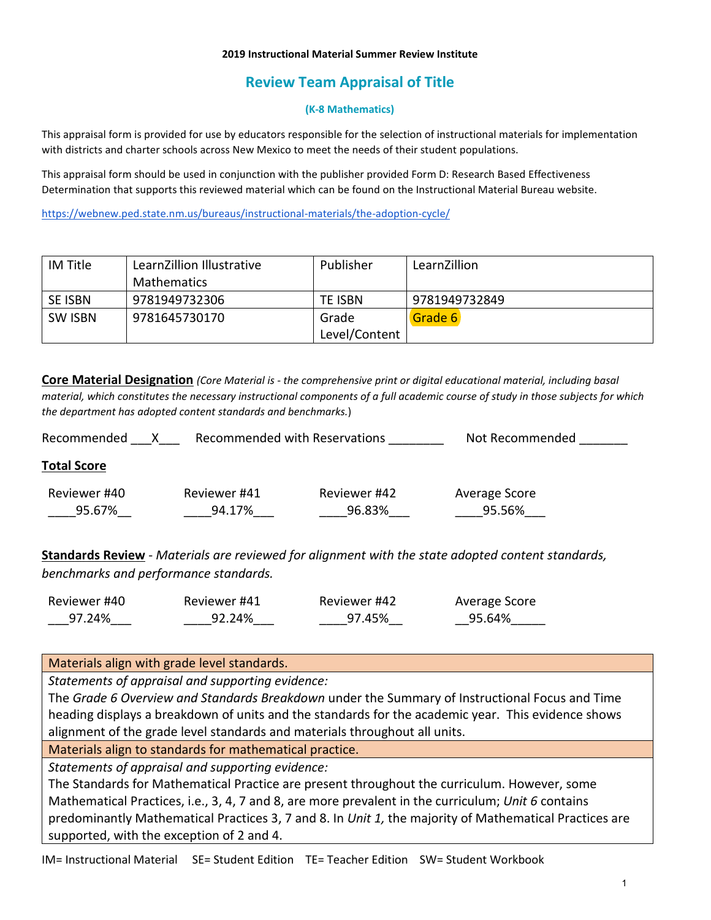#### **2019 Instructional Material Summer Review Institute**

# **Review Team Appraisal of Title**

#### **(K-8 Mathematics)**

This appraisal form is provided for use by educators responsible for the selection of instructional materials for implementation with districts and charter schools across New Mexico to meet the needs of their student populations.

This appraisal form should be used in conjunction with the publisher provided Form D: Research Based Effectiveness Determination that supports this reviewed material which can be found on the Instructional Material Bureau website.

<https://webnew.ped.state.nm.us/bureaus/instructional-materials/the-adoption-cycle/>

| IM Title       | LearnZillion Illustrative | Publisher     | LearnZillion  |
|----------------|---------------------------|---------------|---------------|
|                | <b>Mathematics</b>        |               |               |
| <b>SE ISBN</b> | 9781949732306             | TE ISBN       | 9781949732849 |
| <b>SW ISBN</b> | 9781645730170             | Grade         | Grade 6       |
|                |                           | Level/Content |               |

**Core Material Designation** *(Core Material is - the comprehensive print or digital educational material, including basal material, which constitutes the necessary instructional components of a full academic course of study in those subjects for which the department has adopted content standards and benchmarks.*)

| Recommended        |              | Recommended with Reservations | Not Recommended |
|--------------------|--------------|-------------------------------|-----------------|
| <b>Total Score</b> |              |                               |                 |
| Reviewer #40       | Reviewer #41 | Reviewer #42                  | Average Score   |
| 95.67%             | 94.17%       | 96.83%                        | 95.56%          |
|                    |              |                               |                 |

**Standards Review** - *Materials are reviewed for alignment with the state adopted content standards, benchmarks and performance standards.*

| Reviewer #40 | Reviewer #41 | Reviewer #42 | Average Score |
|--------------|--------------|--------------|---------------|
| 97.24%       | 92.24%       | 97.45%       | 95.64%        |

Materials align with grade level standards.

*Statements of appraisal and supporting evidence:*

The *Grade 6 Overview and Standards Breakdown* under the Summary of Instructional Focus and Time heading displays a breakdown of units and the standards for the academic year. This evidence shows alignment of the grade level standards and materials throughout all units.

Materials align to standards for mathematical practice.

*Statements of appraisal and supporting evidence:*

The Standards for Mathematical Practice are present throughout the curriculum. However, some Mathematical Practices, i.e., 3, 4, 7 and 8, are more prevalent in the curriculum; *Unit 6* contains predominantly Mathematical Practices 3, 7 and 8. In *Unit 1,* the majority of Mathematical Practices are supported, with the exception of 2 and 4.

IM= Instructional Material SE= Student Edition TE= Teacher Edition SW= Student Workbook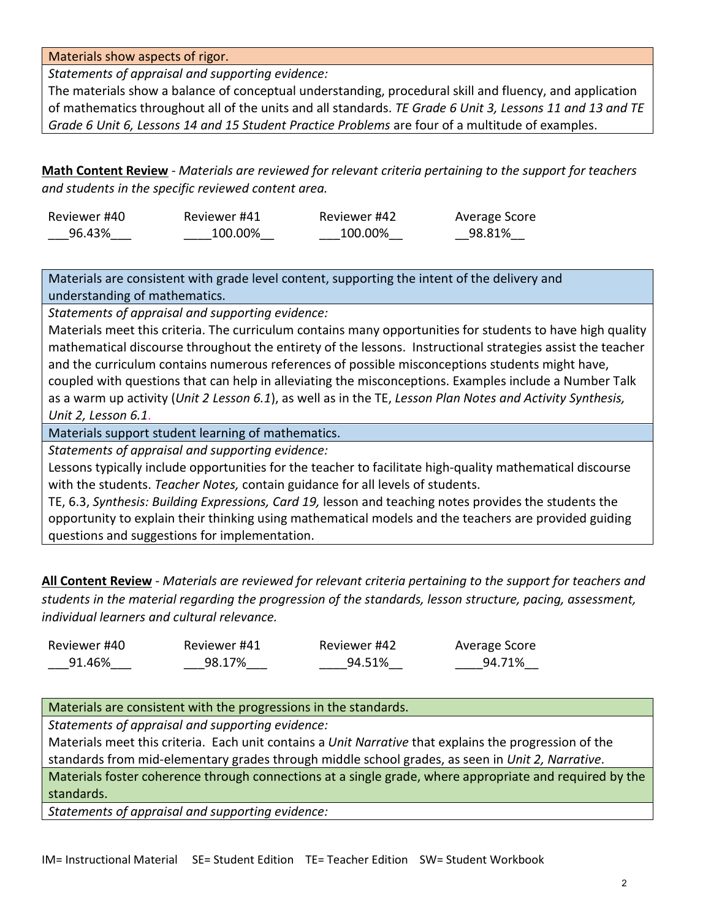Materials show aspects of rigor.

*Statements of appraisal and supporting evidence:*

The materials show a balance of conceptual understanding, procedural skill and fluency, and application of mathematics throughout all of the units and all standards. *TE Grade 6 Unit 3, Lessons 11 and 13 and TE Grade 6 Unit 6, Lessons 14 and 15 Student Practice Problems* are four of a multitude of examples.

**Math Content Review** - *Materials are reviewed for relevant criteria pertaining to the support for teachers and students in the specific reviewed content area.*

| Reviewer #40 | Reviewer #41 | Reviewer #42 | Average Score |
|--------------|--------------|--------------|---------------|
| 96.43%       | 100.00%      | 100.00%      | 98.81%        |

Materials are consistent with grade level content, supporting the intent of the delivery and understanding of mathematics.

*Statements of appraisal and supporting evidence:*

Materials meet this criteria. The curriculum contains many opportunities for students to have high quality mathematical discourse throughout the entirety of the lessons. Instructional strategies assist the teacher and the curriculum contains numerous references of possible misconceptions students might have, coupled with questions that can help in alleviating the misconceptions. Examples include a Number Talk as a warm up activity (*Unit 2 Lesson 6.1*), as well as in the TE, *Lesson Plan Notes and Activity Synthesis, Unit 2, Lesson 6.1*.

Materials support student learning of mathematics.

*Statements of appraisal and supporting evidence:*

Lessons typically include opportunities for the teacher to facilitate high-quality mathematical discourse with the students. *Teacher Notes,* contain guidance for all levels of students.

TE, 6.3, *Synthesis: Building Expressions, Card 19,* lesson and teaching notes provides the students the opportunity to explain their thinking using mathematical models and the teachers are provided guiding questions and suggestions for implementation.

**All Content Review** - *Materials are reviewed for relevant criteria pertaining to the support for teachers and students in the material regarding the progression of the standards, lesson structure, pacing, assessment, individual learners and cultural relevance.*

| Reviewer #40 | Reviewer #41 | Reviewer #42 | Average Score |
|--------------|--------------|--------------|---------------|
| 91.46%       | 98.17%       | 94.51%       | 94.71%        |

Materials are consistent with the progressions in the standards.

*Statements of appraisal and supporting evidence:*

Materials meet this criteria. Each unit contains a *Unit Narrative* that explains the progression of the standards from mid-elementary grades through middle school grades, as seen in *Unit 2, Narrative*.

Materials foster coherence through connections at a single grade, where appropriate and required by the standards.

*Statements of appraisal and supporting evidence:*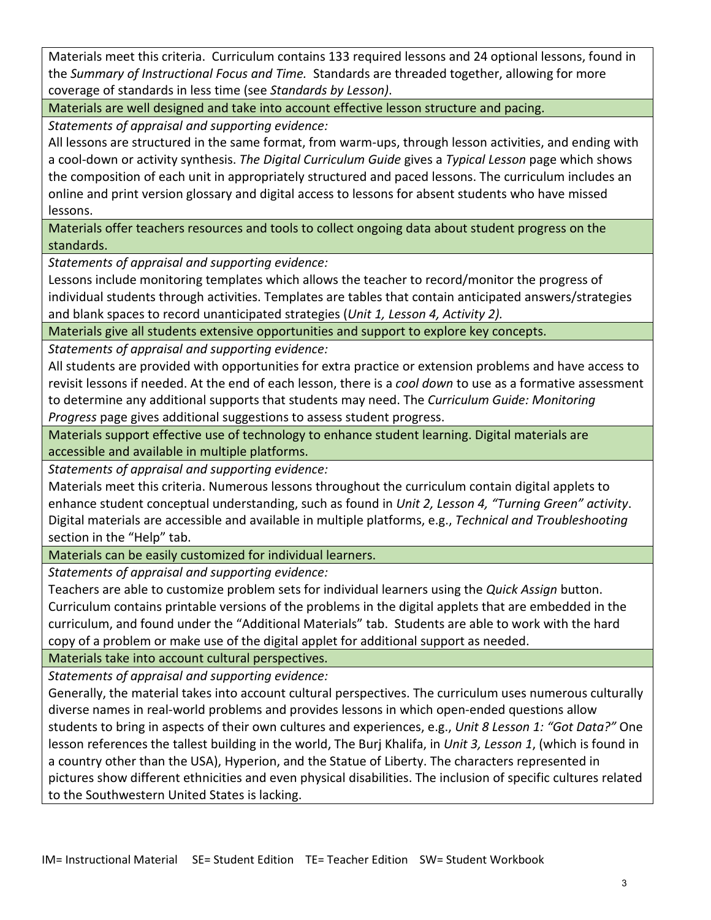Materials meet this criteria. Curriculum contains 133 required lessons and 24 optional lessons, found in the *Summary of Instructional Focus and Time.* Standards are threaded together, allowing for more coverage of standards in less time (see *Standards by Lesson)*.

Materials are well designed and take into account effective lesson structure and pacing.

*Statements of appraisal and supporting evidence:*

All lessons are structured in the same format, from warm-ups, through lesson activities, and ending with a cool-down or activity synthesis. *The Digital Curriculum Guide* gives a *Typical Lesson* page which shows the composition of each unit in appropriately structured and paced lessons. The curriculum includes an online and print version glossary and digital access to lessons for absent students who have missed lessons.

Materials offer teachers resources and tools to collect ongoing data about student progress on the standards.

*Statements of appraisal and supporting evidence:*

Lessons include monitoring templates which allows the teacher to record/monitor the progress of individual students through activities. Templates are tables that contain anticipated answers/strategies and blank spaces to record unanticipated strategies (*Unit 1, Lesson 4, Activity 2).*

Materials give all students extensive opportunities and support to explore key concepts.

*Statements of appraisal and supporting evidence:*

All students are provided with opportunities for extra practice or extension problems and have access to revisit lessons if needed. At the end of each lesson, there is a *cool down* to use as a formative assessment to determine any additional supports that students may need. The *Curriculum Guide: Monitoring Progress* page gives additional suggestions to assess student progress.

Materials support effective use of technology to enhance student learning. Digital materials are accessible and available in multiple platforms.

*Statements of appraisal and supporting evidence:*

Materials meet this criteria. Numerous lessons throughout the curriculum contain digital applets to enhance student conceptual understanding, such as found in *Unit 2, Lesson 4, "Turning Green" activity*. Digital materials are accessible and available in multiple platforms, e.g., *Technical and Troubleshooting*  section in the "Help" tab.

Materials can be easily customized for individual learners.

*Statements of appraisal and supporting evidence:*

Teachers are able to customize problem sets for individual learners using the *Quick Assign* button. Curriculum contains printable versions of the problems in the digital applets that are embedded in the curriculum, and found under the "Additional Materials" tab. Students are able to work with the hard copy of a problem or make use of the digital applet for additional support as needed.

Materials take into account cultural perspectives.

*Statements of appraisal and supporting evidence:*

Generally, the material takes into account cultural perspectives. The curriculum uses numerous culturally diverse names in real-world problems and provides lessons in which open-ended questions allow students to bring in aspects of their own cultures and experiences, e.g., *Unit 8 Lesson 1: "Got Data?"* One lesson references the tallest building in the world, The Burj Khalifa, in *Unit 3, Lesson 1*, (which is found in a country other than the USA), Hyperion, and the Statue of Liberty. The characters represented in pictures show different ethnicities and even physical disabilities. The inclusion of specific cultures related to the Southwestern United States is lacking.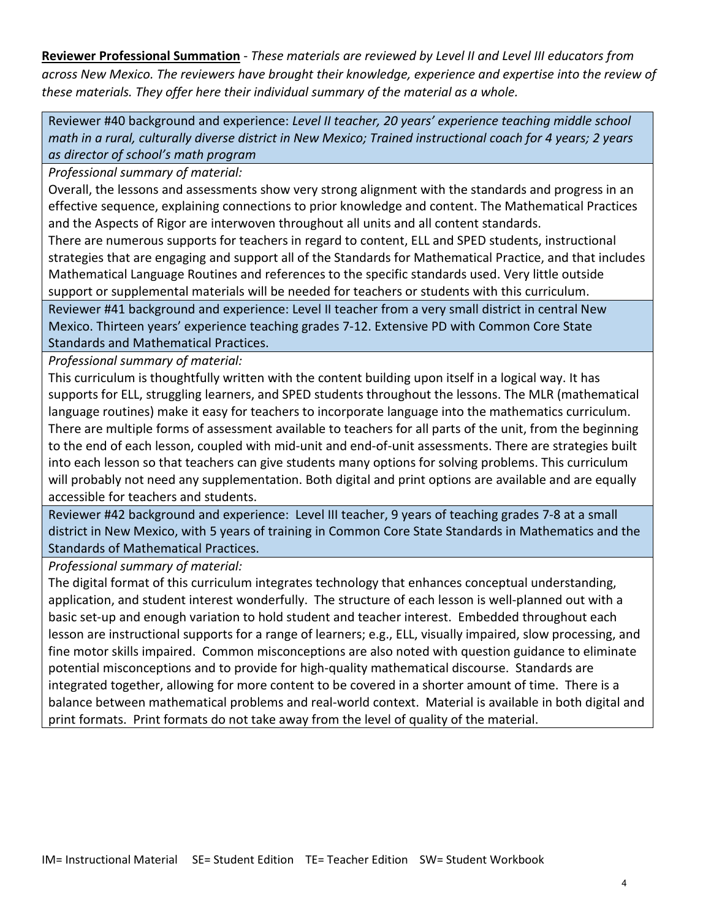**Reviewer Professional Summation** - *These materials are reviewed by Level II and Level III educators from across New Mexico. The reviewers have brought their knowledge, experience and expertise into the review of these materials. They offer here their individual summary of the material as a whole.* 

Reviewer #40 background and experience: *Level II teacher, 20 years' experience teaching middle school math in a rural, culturally diverse district in New Mexico; Trained instructional coach for 4 years; 2 years as director of school's math program* 

*Professional summary of material:*

Overall, the lessons and assessments show very strong alignment with the standards and progress in an effective sequence, explaining connections to prior knowledge and content. The Mathematical Practices and the Aspects of Rigor are interwoven throughout all units and all content standards.

There are numerous supports for teachers in regard to content, ELL and SPED students, instructional strategies that are engaging and support all of the Standards for Mathematical Practice, and that includes Mathematical Language Routines and references to the specific standards used. Very little outside support or supplemental materials will be needed for teachers or students with this curriculum.

Reviewer #41 background and experience: Level II teacher from a very small district in central New Mexico. Thirteen years' experience teaching grades 7-12. Extensive PD with Common Core State Standards and Mathematical Practices.

*Professional summary of material:*

This curriculum is thoughtfully written with the content building upon itself in a logical way. It has supports for ELL, struggling learners, and SPED students throughout the lessons. The MLR (mathematical language routines) make it easy for teachers to incorporate language into the mathematics curriculum. There are multiple forms of assessment available to teachers for all parts of the unit, from the beginning to the end of each lesson, coupled with mid-unit and end-of-unit assessments. There are strategies built into each lesson so that teachers can give students many options for solving problems. This curriculum will probably not need any supplementation. Both digital and print options are available and are equally accessible for teachers and students.

Reviewer #42 background and experience: Level III teacher, 9 years of teaching grades 7-8 at a small district in New Mexico, with 5 years of training in Common Core State Standards in Mathematics and the Standards of Mathematical Practices.

*Professional summary of material:*

The digital format of this curriculum integrates technology that enhances conceptual understanding, application, and student interest wonderfully. The structure of each lesson is well-planned out with a basic set-up and enough variation to hold student and teacher interest. Embedded throughout each lesson are instructional supports for a range of learners; e.g., ELL, visually impaired, slow processing, and fine motor skills impaired. Common misconceptions are also noted with question guidance to eliminate potential misconceptions and to provide for high-quality mathematical discourse. Standards are integrated together, allowing for more content to be covered in a shorter amount of time. There is a balance between mathematical problems and real-world context. Material is available in both digital and print formats. Print formats do not take away from the level of quality of the material.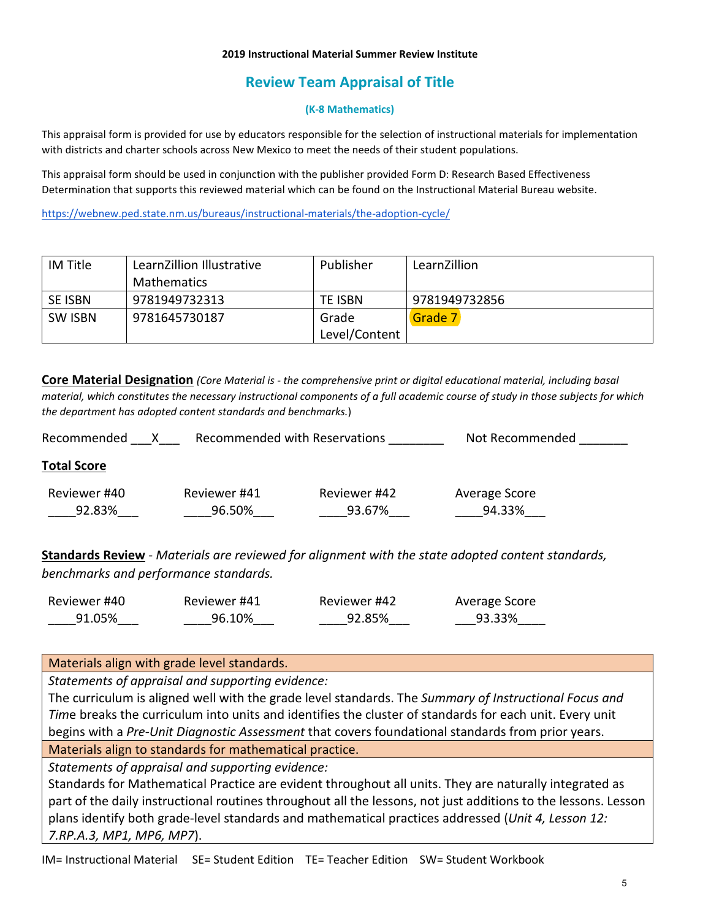#### **2019 Instructional Material Summer Review Institute**

# **Review Team Appraisal of Title**

#### **(K-8 Mathematics)**

This appraisal form is provided for use by educators responsible for the selection of instructional materials for implementation with districts and charter schools across New Mexico to meet the needs of their student populations.

This appraisal form should be used in conjunction with the publisher provided Form D: Research Based Effectiveness Determination that supports this reviewed material which can be found on the Instructional Material Bureau website.

<https://webnew.ped.state.nm.us/bureaus/instructional-materials/the-adoption-cycle/>

| IM Title       | LearnZillion Illustrative | Publisher     | LearnZillion  |
|----------------|---------------------------|---------------|---------------|
|                | <b>Mathematics</b>        |               |               |
| <b>SE ISBN</b> | 9781949732313             | TE ISBN       | 9781949732856 |
| <b>SW ISBN</b> | 9781645730187             | Grade         | Grade 7       |
|                |                           | Level/Content |               |

**Core Material Designation** *(Core Material is - the comprehensive print or digital educational material, including basal material, which constitutes the necessary instructional components of a full academic course of study in those subjects for which the department has adopted content standards and benchmarks.*)

| Recommended        |              | Recommended with Reservations | Not Recommended |
|--------------------|--------------|-------------------------------|-----------------|
| <b>Total Score</b> |              |                               |                 |
| Reviewer #40       | Reviewer #41 | Reviewer #42                  | Average Score   |
| 92.83%             | 96.50%       | 93.67%                        | 94.33%          |
|                    |              |                               |                 |

**Standards Review** - *Materials are reviewed for alignment with the state adopted content standards, benchmarks and performance standards.*

| Reviewer #40 | Reviewer #41 | Reviewer #42 | Average Score |
|--------------|--------------|--------------|---------------|
| 91.05%       | 96.10%       | 92.85%       | 93.33%        |

Materials align with grade level standards.

*Statements of appraisal and supporting evidence:*

The curriculum is aligned well with the grade level standards. The *Summary of Instructional Focus and Tim*e breaks the curriculum into units and identifies the cluster of standards for each unit. Every unit begins with a *Pre-Unit Diagnostic Assessment* that covers foundational standards from prior years.

Materials align to standards for mathematical practice.

*Statements of appraisal and supporting evidence:*

Standards for Mathematical Practice are evident throughout all units. They are naturally integrated as part of the daily instructional routines throughout all the lessons, not just additions to the lessons. Lesson plans identify both grade-level standards and mathematical practices addressed (*Unit 4, Lesson 12: 7.RP.A.3, MP1, MP6, MP7*).

IM= Instructional Material SE= Student Edition TE= Teacher Edition SW= Student Workbook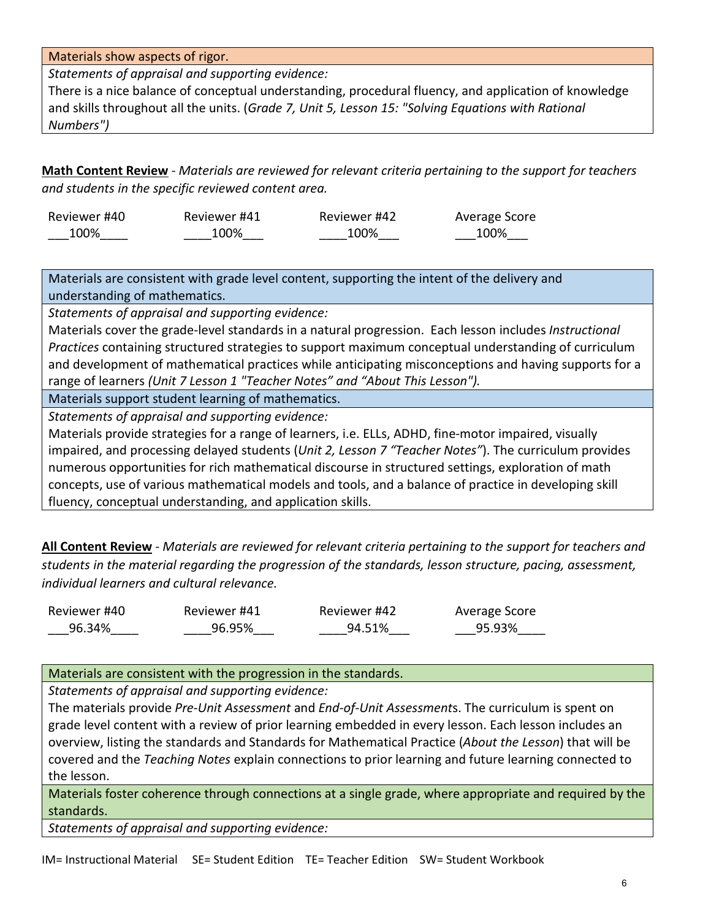Materials show aspects of rigor.

*Statements of appraisal and supporting evidence:*

There is a nice balance of conceptual understanding, procedural fluency, and application of knowledge and skills throughout all the units. (*Grade 7, Unit 5, Lesson 15: "Solving Equations with Rational Numbers")* 

**Math Content Review** - *Materials are reviewed for relevant criteria pertaining to the support for teachers and students in the specific reviewed content area.*

| Reviewer #40 | Reviewer #41 | Reviewer #42 | Average Score |
|--------------|--------------|--------------|---------------|
| 100%         | 100%         | 100%         | 100%          |

Materials are consistent with grade level content, supporting the intent of the delivery and understanding of mathematics.

*Statements of appraisal and supporting evidence:*

Materials cover the grade-level standards in a natural progression. Each lesson includes *Instructional Practices* containing structured strategies to support maximum conceptual understanding of curriculum and development of mathematical practices while anticipating misconceptions and having supports for a range of learners *(Unit 7 Lesson 1 "Teacher Notes" and "About This Lesson").*

Materials support student learning of mathematics.

*Statements of appraisal and supporting evidence:*

Materials provide strategies for a range of learners, i.e. ELLs, ADHD, fine-motor impaired, visually impaired, and processing delayed students (*Unit 2, Lesson 7 "Teacher Notes"*). The curriculum provides numerous opportunities for rich mathematical discourse in structured settings, exploration of math concepts, use of various mathematical models and tools, and a balance of practice in developing skill fluency, conceptual understanding, and application skills.

**All Content Review** - *Materials are reviewed for relevant criteria pertaining to the support for teachers and students in the material regarding the progression of the standards, lesson structure, pacing, assessment, individual learners and cultural relevance.*

| Reviewer #40 | Reviewer #41 | Reviewer #42 | Average Score |
|--------------|--------------|--------------|---------------|
| 96.34%       | 96.95%       | 94.51%       | 95.93%        |

## Materials are consistent with the progression in the standards.

*Statements of appraisal and supporting evidence:*

The materials provide *Pre-Unit Assessment* and *End-of-Unit Assessment*s. The curriculum is spent on grade level content with a review of prior learning embedded in every lesson. Each lesson includes an overview, listing the standards and Standards for Mathematical Practice (*About the Lesson*) that will be covered and the *Teaching Notes* explain connections to prior learning and future learning connected to the lesson.

Materials foster coherence through connections at a single grade, where appropriate and required by the standards.

*Statements of appraisal and supporting evidence:*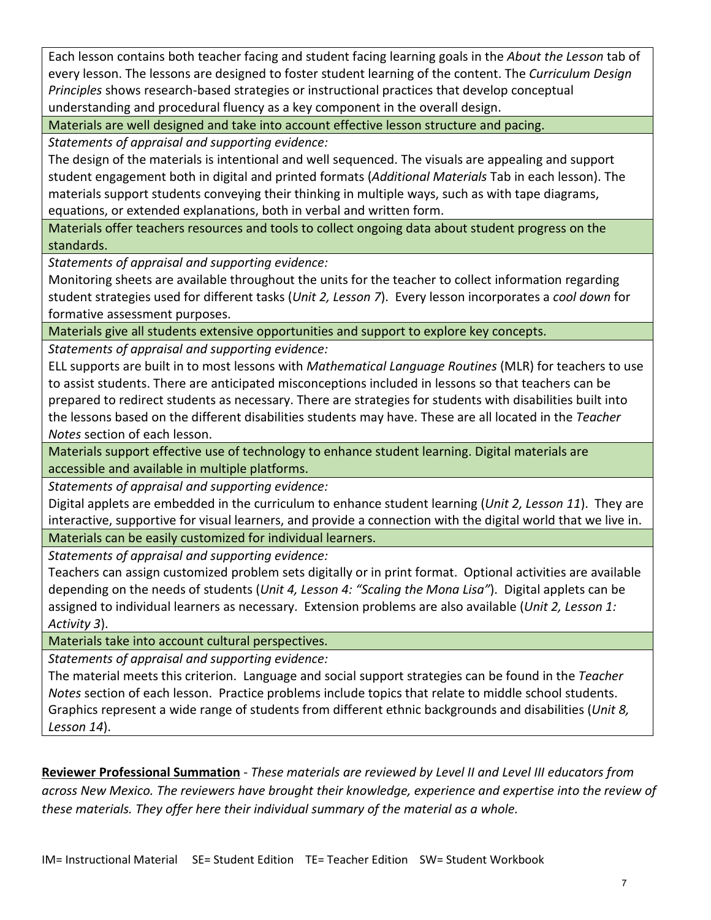Each lesson contains both teacher facing and student facing learning goals in the *About the Lesson* tab of every lesson. The lessons are designed to foster student learning of the content. The *Curriculum Design Principles* shows research-based strategies or instructional practices that develop conceptual understanding and procedural fluency as a key component in the overall design.

Materials are well designed and take into account effective lesson structure and pacing.

*Statements of appraisal and supporting evidence:*

The design of the materials is intentional and well sequenced. The visuals are appealing and support student engagement both in digital and printed formats (*Additional Materials* Tab in each lesson). The materials support students conveying their thinking in multiple ways, such as with tape diagrams, equations, or extended explanations, both in verbal and written form.

Materials offer teachers resources and tools to collect ongoing data about student progress on the standards.

*Statements of appraisal and supporting evidence:*

Monitoring sheets are available throughout the units for the teacher to collect information regarding student strategies used for different tasks (*Unit 2, Lesson 7*). Every lesson incorporates a *cool down* for formative assessment purposes.

Materials give all students extensive opportunities and support to explore key concepts.

*Statements of appraisal and supporting evidence:*

ELL supports are built in to most lessons with *Mathematical Language Routines* (MLR) for teachers to use to assist students. There are anticipated misconceptions included in lessons so that teachers can be prepared to redirect students as necessary. There are strategies for students with disabilities built into the lessons based on the different disabilities students may have. These are all located in the *Teacher Notes* section of each lesson.

Materials support effective use of technology to enhance student learning. Digital materials are accessible and available in multiple platforms.

*Statements of appraisal and supporting evidence:*

Digital applets are embedded in the curriculum to enhance student learning (*Unit 2, Lesson 11*). They are interactive, supportive for visual learners, and provide a connection with the digital world that we live in. Materials can be easily customized for individual learners.

*Statements of appraisal and supporting evidence:*

Teachers can assign customized problem sets digitally or in print format. Optional activities are available depending on the needs of students (*Unit 4, Lesson 4: "Scaling the Mona Lisa"*). Digital applets can be assigned to individual learners as necessary. Extension problems are also available (*Unit 2, Lesson 1: Activity 3*).

Materials take into account cultural perspectives.

*Statements of appraisal and supporting evidence:*

The material meets this criterion. Language and social support strategies can be found in the *Teacher Notes* section of each lesson. Practice problems include topics that relate to middle school students. Graphics represent a wide range of students from different ethnic backgrounds and disabilities (*Unit 8, Lesson 14*).

**Reviewer Professional Summation** - *These materials are reviewed by Level II and Level III educators from across New Mexico. The reviewers have brought their knowledge, experience and expertise into the review of these materials. They offer here their individual summary of the material as a whole.*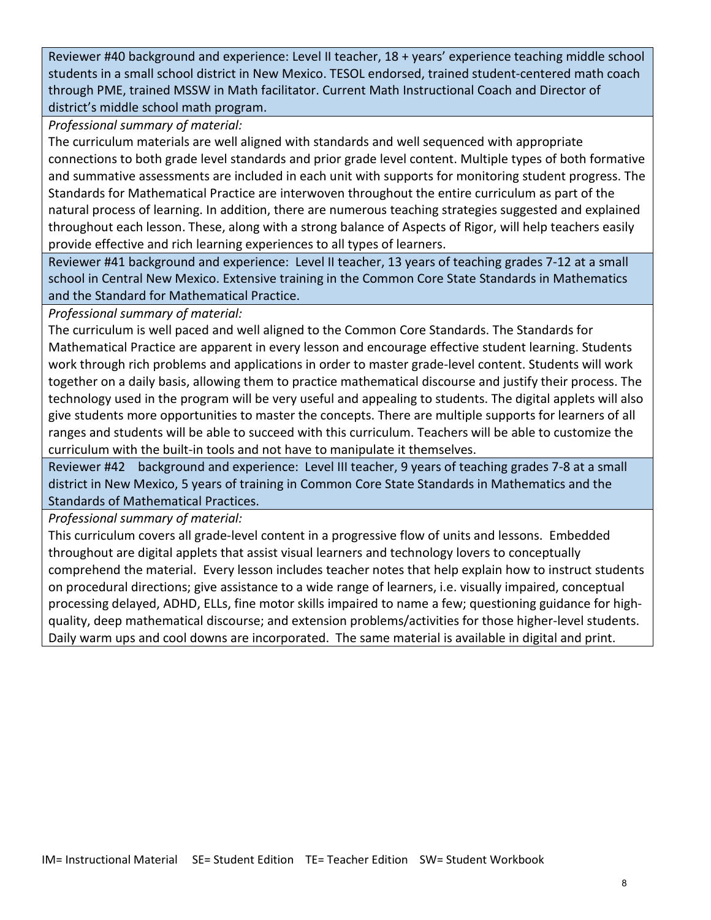Reviewer #40 background and experience: Level II teacher, 18 + years' experience teaching middle school students in a small school district in New Mexico. TESOL endorsed, trained student-centered math coach through PME, trained MSSW in Math facilitator. Current Math Instructional Coach and Director of district's middle school math program.

*Professional summary of material:*

The curriculum materials are well aligned with standards and well sequenced with appropriate connections to both grade level standards and prior grade level content. Multiple types of both formative and summative assessments are included in each unit with supports for monitoring student progress. The Standards for Mathematical Practice are interwoven throughout the entire curriculum as part of the natural process of learning. In addition, there are numerous teaching strategies suggested and explained throughout each lesson. These, along with a strong balance of Aspects of Rigor, will help teachers easily provide effective and rich learning experiences to all types of learners.

Reviewer #41 background and experience: Level II teacher, 13 years of teaching grades 7-12 at a small school in Central New Mexico. Extensive training in the Common Core State Standards in Mathematics and the Standard for Mathematical Practice.

*Professional summary of material:*

The curriculum is well paced and well aligned to the Common Core Standards. The Standards for Mathematical Practice are apparent in every lesson and encourage effective student learning. Students work through rich problems and applications in order to master grade-level content. Students will work together on a daily basis, allowing them to practice mathematical discourse and justify their process. The technology used in the program will be very useful and appealing to students. The digital applets will also give students more opportunities to master the concepts. There are multiple supports for learners of all ranges and students will be able to succeed with this curriculum. Teachers will be able to customize the curriculum with the built-in tools and not have to manipulate it themselves.

Reviewer #42 background and experience: Level III teacher, 9 years of teaching grades 7-8 at a small district in New Mexico, 5 years of training in Common Core State Standards in Mathematics and the Standards of Mathematical Practices.

*Professional summary of material:*

This curriculum covers all grade-level content in a progressive flow of units and lessons. Embedded throughout are digital applets that assist visual learners and technology lovers to conceptually comprehend the material. Every lesson includes teacher notes that help explain how to instruct students on procedural directions; give assistance to a wide range of learners, i.e. visually impaired, conceptual processing delayed, ADHD, ELLs, fine motor skills impaired to name a few; questioning guidance for highquality, deep mathematical discourse; and extension problems/activities for those higher-level students. Daily warm ups and cool downs are incorporated. The same material is available in digital and print.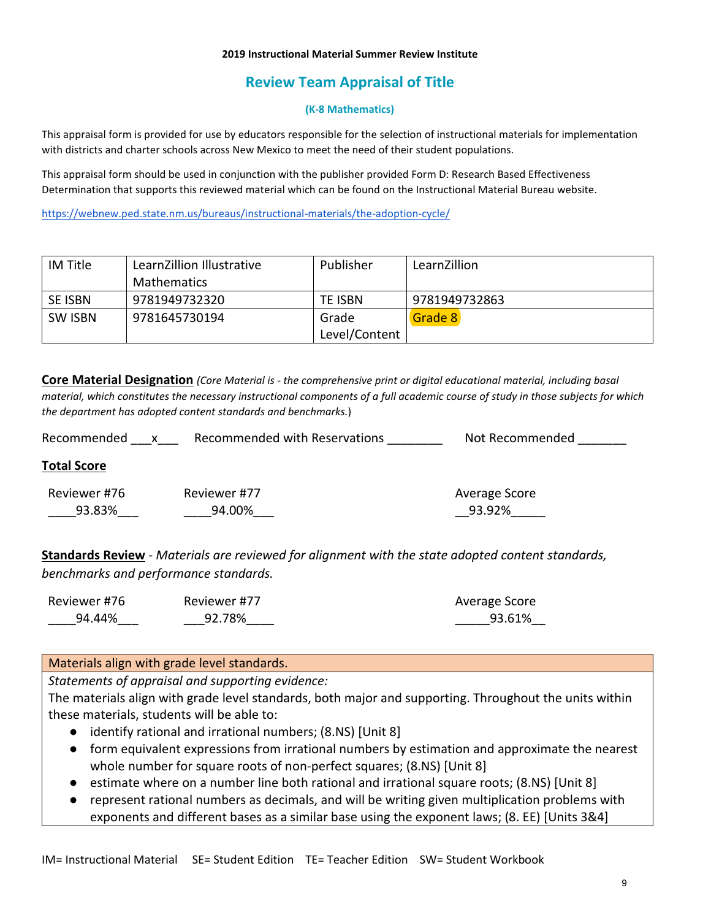#### **2019 Instructional Material Summer Review Institute**

# **Review Team Appraisal of Title**

#### **(K-8 Mathematics)**

This appraisal form is provided for use by educators responsible for the selection of instructional materials for implementation with districts and charter schools across New Mexico to meet the need of their student populations.

This appraisal form should be used in conjunction with the publisher provided Form D: Research Based Effectiveness Determination that supports this reviewed material which can be found on the Instructional Material Bureau website.

<https://webnew.ped.state.nm.us/bureaus/instructional-materials/the-adoption-cycle/>

| IM Title       | LearnZillion Illustrative | Publisher     | LearnZillion  |
|----------------|---------------------------|---------------|---------------|
|                | <b>Mathematics</b>        |               |               |
| <b>SE ISBN</b> | 9781949732320             | TE ISBN       | 9781949732863 |
| <b>SW ISBN</b> | 9781645730194             | Grade         | Grade 8       |
|                |                           | Level/Content |               |

**Core Material Designation** *(Core Material is - the comprehensive print or digital educational material, including basal material, which constitutes the necessary instructional components of a full academic course of study in those subjects for which the department has adopted content standards and benchmarks.*)

| Recommended | Recommended with Reservations | Not Recommended |
|-------------|-------------------------------|-----------------|
|-------------|-------------------------------|-----------------|

## **Total Score**

| Reviewer #76 | Reviewer #77 | Average Score |
|--------------|--------------|---------------|
| 93.83%       | 94.00%       | 93.92%        |

**Standards Review** - *Materials are reviewed for alignment with the state adopted content standards, benchmarks and performance standards.*

| Reviewer #76 | Reviewer #77 | Average Score |
|--------------|--------------|---------------|
| 94.44%       | 92.78%       | 93.61%        |

## Materials align with grade level standards.

*Statements of appraisal and supporting evidence:*

The materials align with grade level standards, both major and supporting. Throughout the units within these materials, students will be able to:

- identify rational and irrational numbers; (8.NS) [Unit 8]
- form equivalent expressions from irrational numbers by estimation and approximate the nearest whole number for square roots of non-perfect squares; (8.NS) [Unit 8]
- estimate where on a number line both rational and irrational square roots; (8.NS) [Unit 8]
- represent rational numbers as decimals, and will be writing given multiplication problems with exponents and different bases as a similar base using the exponent laws; (8. EE) [Units 3&4]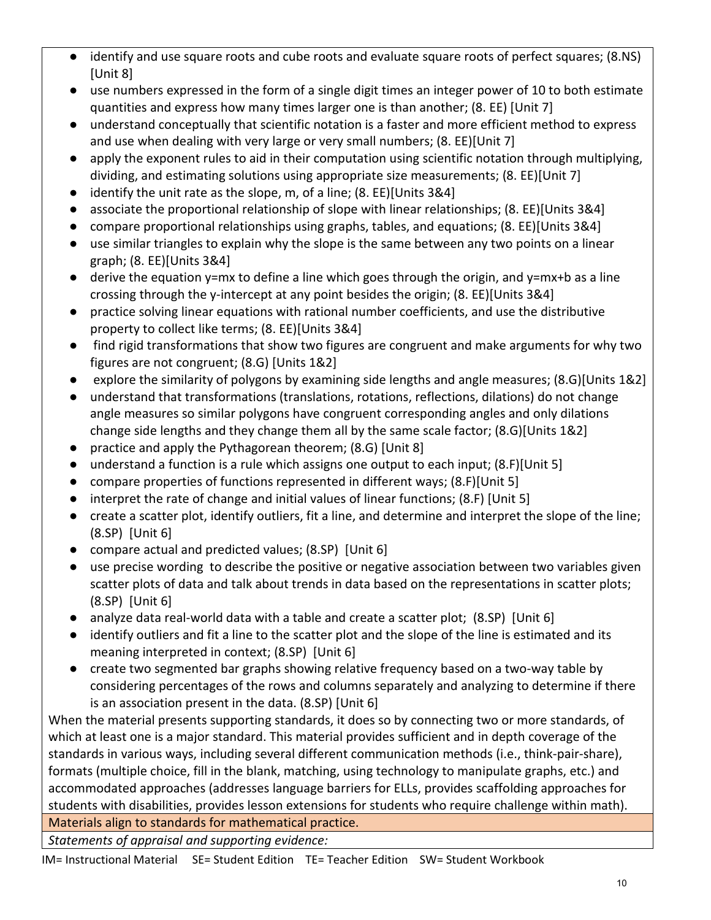- identify and use square roots and cube roots and evaluate square roots of perfect squares; (8.NS) [Unit 8]
- use numbers expressed in the form of a single digit times an integer power of 10 to both estimate quantities and express how many times larger one is than another; (8. EE) [Unit 7]
- understand conceptually that scientific notation is a faster and more efficient method to express and use when dealing with very large or very small numbers; (8. EE)[Unit 7]
- apply the exponent rules to aid in their computation using scientific notation through multiplying, dividing, and estimating solutions using appropriate size measurements; (8. EE)[Unit 7]
- identify the unit rate as the slope, m, of a line; (8. EE)[Units 3&4]
- associate the proportional relationship of slope with linear relationships; (8. EE)[Units 3&4]
- compare proportional relationships using graphs, tables, and equations; (8. EE)[Units 3&4]
- use similar triangles to explain why the slope is the same between any two points on a linear graph; (8. EE)[Units 3&4]
- $\bullet$  derive the equation y=mx to define a line which goes through the origin, and y=mx+b as a line crossing through the y-intercept at any point besides the origin; (8. EE)[Units 3&4]
- practice solving linear equations with rational number coefficients, and use the distributive property to collect like terms; (8. EE)[Units 3&4]
- find rigid transformations that show two figures are congruent and make arguments for why two figures are not congruent; (8.G) [Units 1&2]
- explore the similarity of polygons by examining side lengths and angle measures; (8.G)[Units 1&2]
- understand that transformations (translations, rotations, reflections, dilations) do not change angle measures so similar polygons have congruent corresponding angles and only dilations change side lengths and they change them all by the same scale factor; (8.G)[Units 1&2]
- practice and apply the Pythagorean theorem; (8.G) [Unit 8]
- understand a function is a rule which assigns one output to each input; (8.F)[Unit 5]
- compare properties of functions represented in different ways; (8.F)[Unit 5]
- interpret the rate of change and initial values of linear functions; (8.F) [Unit 5]
- create a scatter plot, identify outliers, fit a line, and determine and interpret the slope of the line; (8.SP) [Unit 6]
- compare actual and predicted values; (8.SP) [Unit 6]
- use precise wording to describe the positive or negative association between two variables given scatter plots of data and talk about trends in data based on the representations in scatter plots; (8.SP) [Unit 6]
- analyze data real-world data with a table and create a scatter plot; (8.SP) [Unit 6]
- identify outliers and fit a line to the scatter plot and the slope of the line is estimated and its meaning interpreted in context; (8.SP) [Unit 6]
- create two segmented bar graphs showing relative frequency based on a two-way table by considering percentages of the rows and columns separately and analyzing to determine if there is an association present in the data. (8.SP) [Unit 6]

When the material presents supporting standards, it does so by connecting two or more standards, of which at least one is a major standard. This material provides sufficient and in depth coverage of the standards in various ways, including several different communication methods (i.e., think-pair-share), formats (multiple choice, fill in the blank, matching, using technology to manipulate graphs, etc.) and accommodated approaches (addresses language barriers for ELLs, provides scaffolding approaches for students with disabilities, provides lesson extensions for students who require challenge within math). Materials align to standards for mathematical practice.

*Statements of appraisal and supporting evidence:*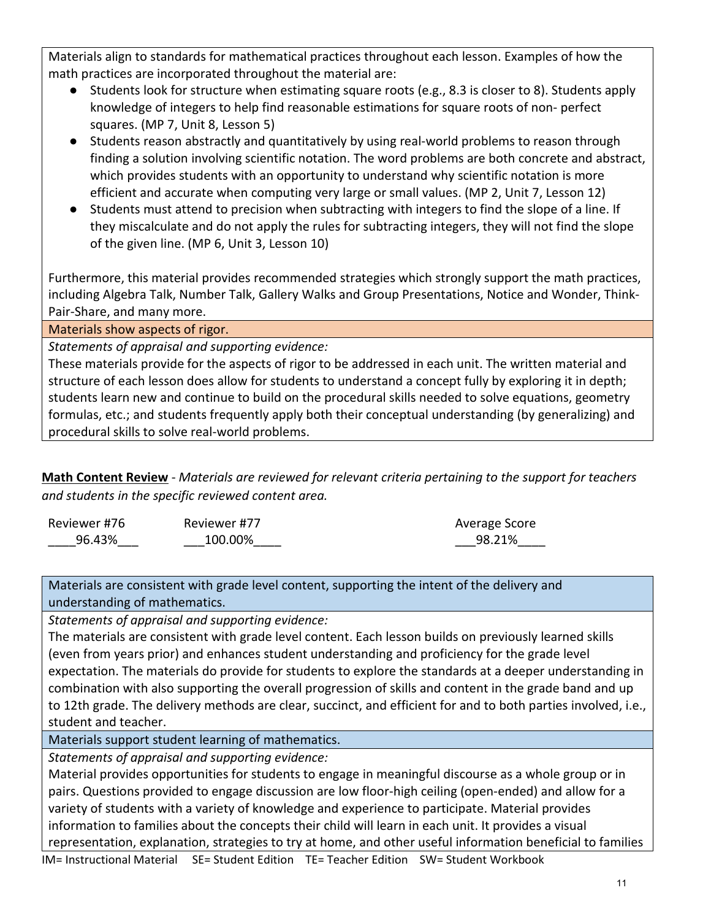Materials align to standards for mathematical practices throughout each lesson. Examples of how the math practices are incorporated throughout the material are:

- Students look for structure when estimating square roots (e.g., 8.3 is closer to 8). Students apply knowledge of integers to help find reasonable estimations for square roots of non- perfect squares. (MP 7, Unit 8, Lesson 5)
- Students reason abstractly and quantitatively by using real-world problems to reason through finding a solution involving scientific notation. The word problems are both concrete and abstract, which provides students with an opportunity to understand why scientific notation is more efficient and accurate when computing very large or small values. (MP 2, Unit 7, Lesson 12)
- Students must attend to precision when subtracting with integers to find the slope of a line. If they miscalculate and do not apply the rules for subtracting integers, they will not find the slope of the given line. (MP 6, Unit 3, Lesson 10)

Furthermore, this material provides recommended strategies which strongly support the math practices, including Algebra Talk, Number Talk, Gallery Walks and Group Presentations, Notice and Wonder, Think-Pair-Share, and many more.

Materials show aspects of rigor.

*Statements of appraisal and supporting evidence:*

These materials provide for the aspects of rigor to be addressed in each unit. The written material and structure of each lesson does allow for students to understand a concept fully by exploring it in depth; students learn new and continue to build on the procedural skills needed to solve equations, geometry formulas, etc.; and students frequently apply both their conceptual understanding (by generalizing) and procedural skills to solve real-world problems.

**Math Content Review** - *Materials are reviewed for relevant criteria pertaining to the support for teachers and students in the specific reviewed content area.*

| Reviewer #76 | Reviewer #77 | Average Score |
|--------------|--------------|---------------|
| 96.43%       | 100.00%      | 98.21%        |

Materials are consistent with grade level content, supporting the intent of the delivery and understanding of mathematics.

*Statements of appraisal and supporting evidence:*

The materials are consistent with grade level content. Each lesson builds on previously learned skills (even from years prior) and enhances student understanding and proficiency for the grade level expectation. The materials do provide for students to explore the standards at a deeper understanding in combination with also supporting the overall progression of skills and content in the grade band and up to 12th grade. The delivery methods are clear, succinct, and efficient for and to both parties involved, i.e., student and teacher.

Materials support student learning of mathematics.

*Statements of appraisal and supporting evidence:*

Material provides opportunities for students to engage in meaningful discourse as a whole group or in pairs. Questions provided to engage discussion are low floor-high ceiling (open-ended) and allow for a variety of students with a variety of knowledge and experience to participate. Material provides information to families about the concepts their child will learn in each unit. It provides a visual representation, explanation, strategies to try at home, and other useful information beneficial to families

IM= Instructional Material SE= Student Edition TE= Teacher Edition SW= Student Workbook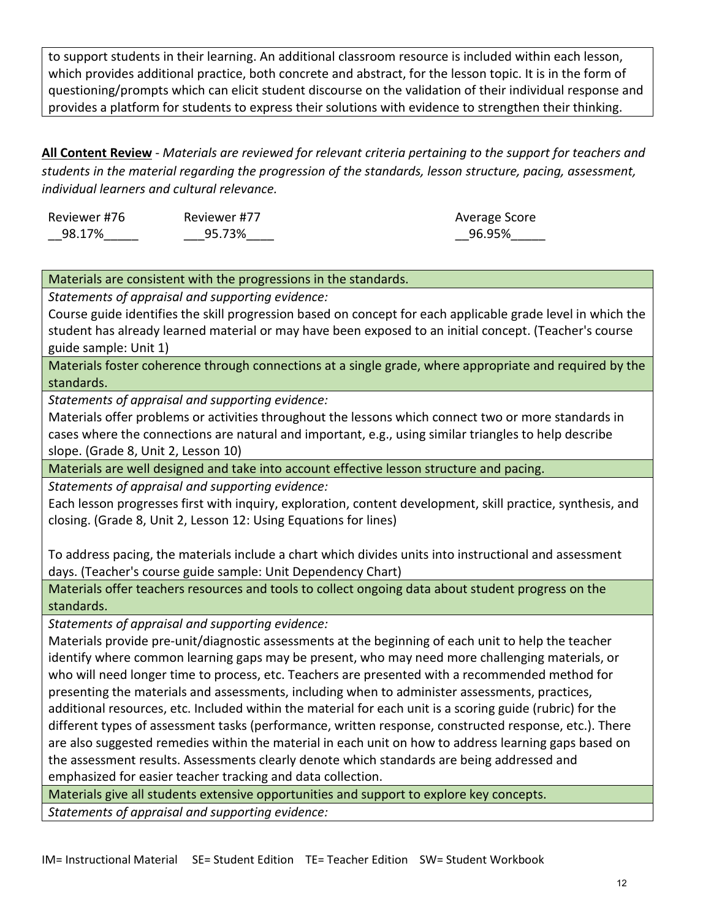to support students in their learning. An additional classroom resource is included within each lesson, which provides additional practice, both concrete and abstract, for the lesson topic. It is in the form of questioning/prompts which can elicit student discourse on the validation of their individual response and provides a platform for students to express their solutions with evidence to strengthen their thinking.

**All Content Review** - *Materials are reviewed for relevant criteria pertaining to the support for teachers and students in the material regarding the progression of the standards, lesson structure, pacing, assessment, individual learners and cultural relevance.*

| Reviewer #76 | Reviewer #77 | Average Score |
|--------------|--------------|---------------|
| 98.17%       | 95.73%       | 96.95%        |

## Materials are consistent with the progressions in the standards.

*Statements of appraisal and supporting evidence:*

Course guide identifies the skill progression based on concept for each applicable grade level in which the student has already learned material or may have been exposed to an initial concept. (Teacher's course guide sample: Unit 1)

Materials foster coherence through connections at a single grade, where appropriate and required by the standards.

*Statements of appraisal and supporting evidence:*

Materials offer problems or activities throughout the lessons which connect two or more standards in cases where the connections are natural and important, e.g., using similar triangles to help describe slope. (Grade 8, Unit 2, Lesson 10)

Materials are well designed and take into account effective lesson structure and pacing.

*Statements of appraisal and supporting evidence:*

Each lesson progresses first with inquiry, exploration, content development, skill practice, synthesis, and closing. (Grade 8, Unit 2, Lesson 12: Using Equations for lines)

To address pacing, the materials include a chart which divides units into instructional and assessment days. (Teacher's course guide sample: Unit Dependency Chart)

Materials offer teachers resources and tools to collect ongoing data about student progress on the standards.

*Statements of appraisal and supporting evidence:*

Materials provide pre-unit/diagnostic assessments at the beginning of each unit to help the teacher identify where common learning gaps may be present, who may need more challenging materials, or who will need longer time to process, etc. Teachers are presented with a recommended method for presenting the materials and assessments, including when to administer assessments, practices, additional resources, etc. Included within the material for each unit is a scoring guide (rubric) for the different types of assessment tasks (performance, written response, constructed response, etc.). There are also suggested remedies within the material in each unit on how to address learning gaps based on the assessment results. Assessments clearly denote which standards are being addressed and emphasized for easier teacher tracking and data collection.

Materials give all students extensive opportunities and support to explore key concepts. *Statements of appraisal and supporting evidence:*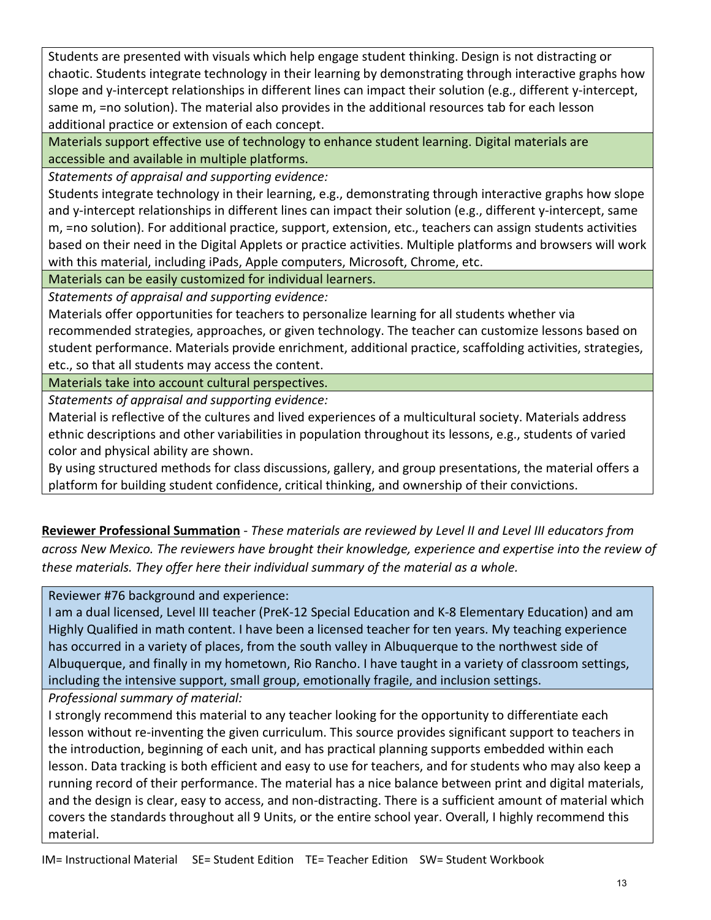Students are presented with visuals which help engage student thinking. Design is not distracting or chaotic. Students integrate technology in their learning by demonstrating through interactive graphs how slope and y-intercept relationships in different lines can impact their solution (e.g., different y-intercept, same m, =no solution). The material also provides in the additional resources tab for each lesson additional practice or extension of each concept.

Materials support effective use of technology to enhance student learning. Digital materials are accessible and available in multiple platforms.

*Statements of appraisal and supporting evidence:*

Students integrate technology in their learning, e.g., demonstrating through interactive graphs how slope and y-intercept relationships in different lines can impact their solution (e.g., different y-intercept, same m, =no solution). For additional practice, support, extension, etc., teachers can assign students activities based on their need in the Digital Applets or practice activities. Multiple platforms and browsers will work with this material, including iPads, Apple computers, Microsoft, Chrome, etc.

Materials can be easily customized for individual learners.

*Statements of appraisal and supporting evidence:*

Materials offer opportunities for teachers to personalize learning for all students whether via recommended strategies, approaches, or given technology. The teacher can customize lessons based on student performance. Materials provide enrichment, additional practice, scaffolding activities, strategies, etc., so that all students may access the content.

Materials take into account cultural perspectives.

*Statements of appraisal and supporting evidence:*

Material is reflective of the cultures and lived experiences of a multicultural society. Materials address ethnic descriptions and other variabilities in population throughout its lessons, e.g., students of varied color and physical ability are shown.

By using structured methods for class discussions, gallery, and group presentations, the material offers a platform for building student confidence, critical thinking, and ownership of their convictions.

**Reviewer Professional Summation** - *These materials are reviewed by Level II and Level III educators from across New Mexico. The reviewers have brought their knowledge, experience and expertise into the review of these materials. They offer here their individual summary of the material as a whole.* 

Reviewer #76 background and experience:

I am a dual licensed, Level III teacher (PreK-12 Special Education and K-8 Elementary Education) and am Highly Qualified in math content. I have been a licensed teacher for ten years. My teaching experience has occurred in a variety of places, from the south valley in Albuquerque to the northwest side of Albuquerque, and finally in my hometown, Rio Rancho. I have taught in a variety of classroom settings, including the intensive support, small group, emotionally fragile, and inclusion settings.

*Professional summary of material:*

I strongly recommend this material to any teacher looking for the opportunity to differentiate each lesson without re-inventing the given curriculum. This source provides significant support to teachers in the introduction, beginning of each unit, and has practical planning supports embedded within each lesson. Data tracking is both efficient and easy to use for teachers, and for students who may also keep a running record of their performance. The material has a nice balance between print and digital materials, and the design is clear, easy to access, and non-distracting. There is a sufficient amount of material which covers the standards throughout all 9 Units, or the entire school year. Overall, I highly recommend this material.